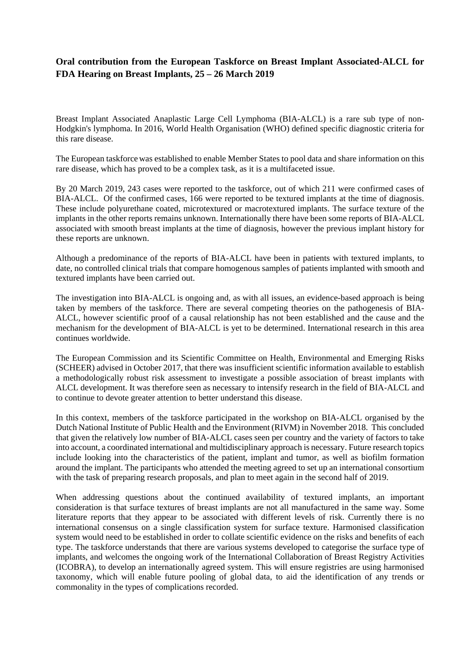## **Oral contribution from the European Taskforce on Breast Implant Associated-ALCL for FDA Hearing on Breast Implants, 25 – 26 March 2019**

Breast Implant Associated Anaplastic Large Cell Lymphoma (BIA-ALCL) is a rare sub type of non-Hodgkin's lymphoma. In 2016, World Health Organisation (WHO) defined specific diagnostic criteria for this rare disease.

The European taskforcewas established to enable Member States to pool data and share information on this rare disease, which has proved to be a complex task, as it is a multifaceted issue.

By 20 March 2019, 243 cases were reported to the taskforce, out of which 211 were confirmed cases of BIA-ALCL. Of the confirmed cases, 166 were reported to be textured implants at the time of diagnosis. These include polyurethane coated, microtextured or macrotextured implants. The surface texture of the implants in the other reports remains unknown. Internationally there have been some reports of BIA-ALCL associated with smooth breast implants at the time of diagnosis, however the previous implant history for these reports are unknown.

Although a predominance of the reports of BIA-ALCL have been in patients with textured implants, to date, no controlled clinical trials that compare homogenous samples of patients implanted with smooth and textured implants have been carried out.

The investigation into BIA-ALCL is ongoing and, as with all issues, an evidence-based approach is being taken by members of the taskforce. There are several competing theories on the pathogenesis of BIA-ALCL, however scientific proof of a causal relationship has not been established and the cause and the mechanism for the development of BIA-ALCL is yet to be determined. International research in this area continues worldwide.

The European Commission and its Scientific Committee on Health, Environmental and Emerging Risks (SCHEER) advised in October 2017, that there was insufficient scientific information available to establish a methodologically robust risk assessment to investigate a possible association of breast implants with ALCL development. It was therefore seen as necessary to intensify research in the field of BIA-ALCL and to continue to devote greater attention to better understand this disease.

In this context, members of the taskforce participated in the workshop on BIA-ALCL organised by the Dutch National Institute of Public Health and the Environment (RIVM) in November 2018. This concluded that given the relatively low number of BIA-ALCL cases seen per country and the variety of factors to take into account, a coordinated international and multidisciplinary approach is necessary. Future research topics include looking into the characteristics of the patient, implant and tumor, as well as biofilm formation around the implant. The participants who attended the meeting agreed to set up an international consortium with the task of preparing research proposals, and plan to meet again in the second half of 2019.

When addressing questions about the continued availability of textured implants, an important consideration is that surface textures of breast implants are not all manufactured in the same way. Some literature reports that they appear to be associated with different levels of risk. Currently there is no international consensus on a single classification system for surface texture. Harmonised classification system would need to be established in order to collate scientific evidence on the risks and benefits of each type. The taskforce understands that there are various systems developed to categorise the surface type of implants, and welcomes the ongoing work of the International Collaboration of Breast Registry Activities (ICOBRA), to develop an internationally agreed system. This will ensure registries are using harmonised taxonomy, which will enable future pooling of global data, to aid the identification of any trends or commonality in the types of complications recorded.